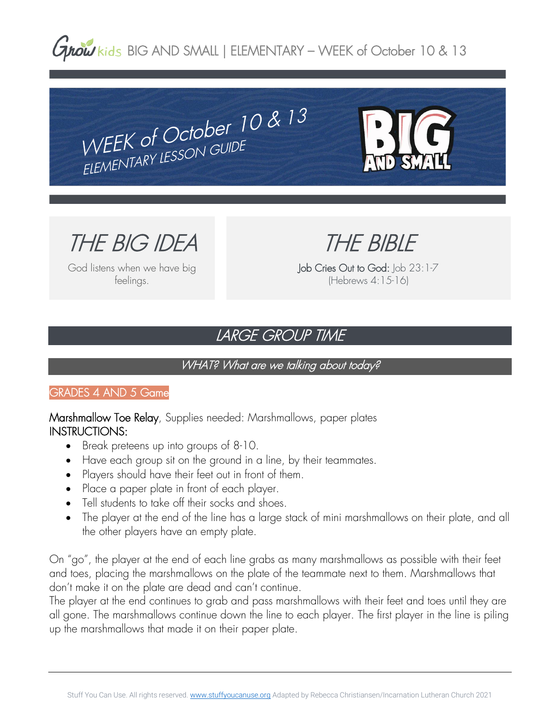**Grow** kids BIG AND SMALL | ELEMENTARY – WEEK of October 10 & 13

THE BIG IDEA

God listens when we have big feelings.

THE BIBLE

Job Cries Out to God: Job 23:1-7 (Hebrews 4:15-16)

## LARGE GROUP TIME

#### WHAT? What are we talking about today?

#### GRADES 4 AND 5 Game

Marshmallow Toe Relay, Supplies needed: Marshmallows, paper plates INSTRUCTIONS:

WEEK of October  $10$  &  $13$ <br>WEEK of October  $10$  &  $13$ 

WEEK of OCTODO:<br>ELEMENTARY LESSON GUIDE

- Break preteens up into groups of 8-10.
- Have each group sit on the ground in a line, by their teammates.
- Players should have their feet out in front of them.
- Place a paper plate in front of each player.
- Tell students to take off their socks and shoes.
- The player at the end of the line has a large stack of mini marshmallows on their plate, and all the other players have an empty plate.

On "go", the player at the end of each line grabs as many marshmallows as possible with their feet and toes, placing the marshmallows on the plate of the teammate next to them. Marshmallows that don't make it on the plate are dead and can't continue.

The player at the end continues to grab and pass marshmallows with their feet and toes until they are all gone. The marshmallows continue down the line to each player. The first player in the line is piling up the marshmallows that made it on their paper plate.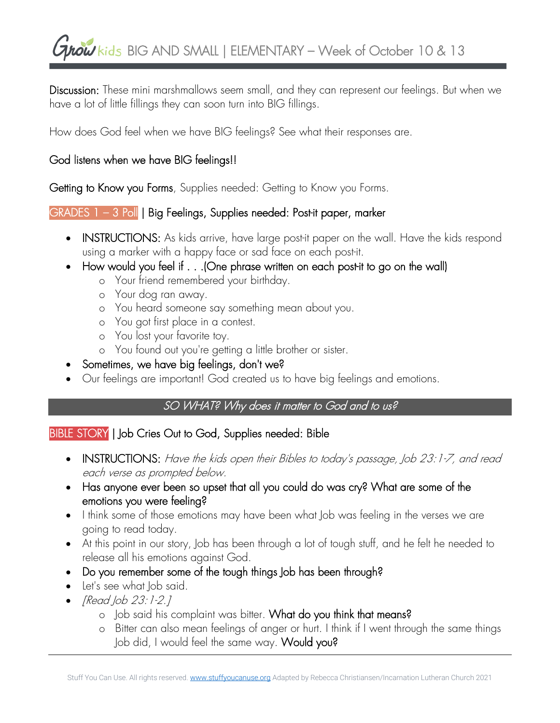# **Grow** kids BIG AND SMALL | ELEMENTARY – Week of October 10 & 13

Discussion: These mini marshmallows seem small, and they can represent our feelings. But when we have a lot of little fillings they can soon turn into BIG fillings.

How does God feel when we have BIG feelings? See what their responses are.

#### God listens when we have BIG feelings!!

Getting to Know you Forms, Supplies needed: Getting to Know you Forms.

#### GRADES 1 - 3 Poll | Big Feelings, Supplies needed: Post-it paper, marker

- INSTRUCTIONS: As kids arrive, have large post-it paper on the wall. Have the kids respond using a marker with a happy face or sad face on each post-it.
- How would you feel if . . .(One phrase written on each post-it to go on the wall)
	- o Your friend remembered your birthday.
	- o Your dog ran away.
	- o You heard someone say something mean about you.
	- o You got first place in a contest.
	- o You lost your favorite toy.
	- o You found out you're getting a little brother or sister.
- Sometimes, we have big feelings, don't we?
- Our feelings are important! God created us to have big feelings and emotions.

## SO WHAT? Why does it matter to God and to us?

### BIBLE STORY | Job Cries Out to God, Supplies needed: Bible

- INSTRUCTIONS: Have the kids open their Bibles to today's passage, Job 23:1-7, and read each verse as prompted below.
- Has anyone ever been so upset that all you could do was cry? What are some of the emotions you were feeling?
- I think some of those emotions may have been what Job was feeling in the verses we are going to read today.
- At this point in our story, Job has been through a lot of tough stuff, and he felt he needed to release all his emotions against God.
- Do you remember some of the tough things Job has been through?
- Let's see what Job said.
- [Read Job 23:1-2.]
	- o Job said his complaint was bitter. What do you think that means?
	- o Bitter can also mean feelings of anger or hurt. I think if I went through the same things Job did, I would feel the same way. Would you?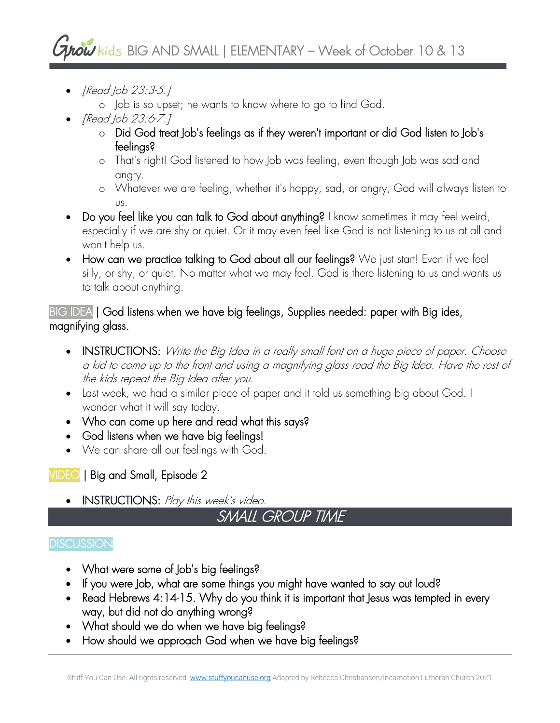## $\frac{1}{2}$  kids BIG AND SMALL | ELEMENTARY – Week of October 10 & 13

- [Read Job 23:3-5.]
	- o Job is so upset; he wants to know where to go to find God.
- [Read Job 23:6-7.]
	- o Did God treat Job's feelings as if they weren't important or did God listen to Job's feelings?
	- o That's right! God listened to how Job was feeling, even though Job was sad and angry.
	- o Whatever we are feeling, whether it's happy, sad, or angry, God will always listen to us.
- Do you feel like you can talk to God about anything? I know sometimes it may feel weird, especially if we are shy or quiet. Or it may even feel like God is not listening to us at all and won't help us.
- How can we practice talking to God about all our feelings? We just start! Even if we feel silly, or shy, or quiet. No matter what we may feel, God is there listening to us and wants us to talk about anything.

## BIG IDEA | God listens when we have big feelings, Supplies needed: paper with Big ides, magnifying glass.

- INSTRUCTIONS: Write the Big Idea in a really small font on a huge piece of paper. Choose a kid to come up to the front and using a magnifying glass read the Big Idea. Have the rest of the kids repeat the Big Idea after you.
- Last week, we had a similar piece of paper and it told us something big about God. I wonder what it will say today.
- Who can come up here and read what this says?
- God listens when we have big feelings!
- We can share all our feelings with God.

## VIDEO | Big and Small, Episode 2

• INSTRUCTIONS: Play this week's video.

## SMALL GROUP TIME

## **DISCUSSION**

- What were some of Job's big feelings?
- If you were Job, what are some things you might have wanted to say out loud?
- Read Hebrews 4:14-15. Why do you think it is important that Jesus was tempted in every way, but did not do anything wrong?
- What should we do when we have big feelings?
- How should we approach God when we have big feelings?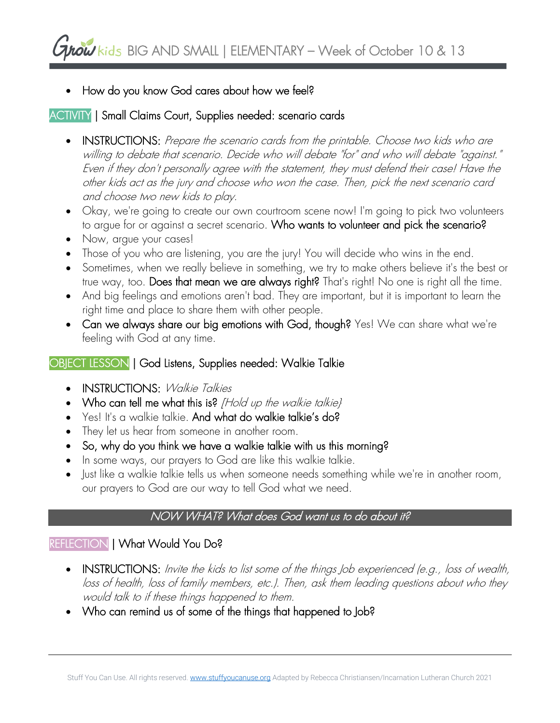• How do you know God cares about how we feel?

## ACTIVITY | Small Claims Court, Supplies needed: scenario cards

- INSTRUCTIONS: Prepare the scenario cards from the printable. Choose two kids who are willing to debate that scenario. Decide who will debate "for" and who will debate "against." Even if they don't personally agree with the statement, they must defend their case! Have the other kids act as the jury and choose who won the case. Then, pick the next scenario card and choose two new kids to play.
- Okay, we're going to create our own courtroom scene now! I'm going to pick two volunteers to argue for or against a secret scenario. Who wants to volunteer and pick the scenario?
- Now, argue your cases!
- Those of you who are listening, you are the jury! You will decide who wins in the end.
- Sometimes, when we really believe in something, we try to make others believe it's the best or true way, too. Does that mean we are always right? That's right! No one is right all the time.
- And big feelings and emotions aren't bad. They are important, but it is important to learn the right time and place to share them with other people.
- Can we always share our big emotions with God, though? Yes! We can share what we're feeling with God at any time.

## OBJECT LESSON | God Listens, Supplies needed: Walkie Talkie

- INSTRUCTIONS: Walkie Talkies
- Who can tell me what this is? [Hold up the walkie talkie}
- Yes! It's a walkie talkie. And what do walkie talkie's do?
- They let us hear from someone in another room.
- So, why do you think we have a walkie talkie with us this morning?
- In some ways, our prayers to God are like this walkie talkie.
- Just like a walkie talkie tells us when someone needs something while we're in another room, our prayers to God are our way to tell God what we need.

### NOW WHAT? What does God want us to do about it?

### REFLECTION | What Would You Do?

- INSTRUCTIONS: Invite the kids to list some of the things Job experienced (e.g., loss of wealth, loss of health, loss of family members, etc.). Then, ask them leading questions about who they would talk to if these things happened to them.
- Who can remind us of some of the things that happened to Job?